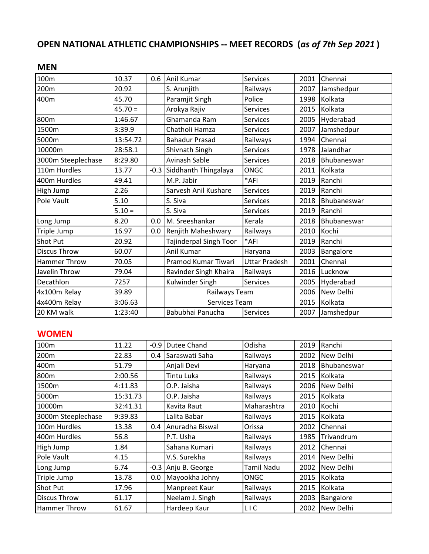## **OPEN NATIONAL ATHLETIC CHAMPIONSHIPS -- MEET RECORDS (***as of 7th Sep 2021* **)**

## **MEN**

| 100m                | 10.37     | 0.6 | Anil Kumar                | <b>Services</b>      | 2001 | Chennai     |
|---------------------|-----------|-----|---------------------------|----------------------|------|-------------|
| 200m                | 20.92     |     | S. Arunjith               | Railways             | 2007 | Jamshedpur  |
| 400m                | 45.70     |     | Paramjit Singh            | Police               | 1998 | Kolkata     |
|                     | $45.70 =$ |     | Arokya Rajiv              | <b>Services</b>      | 2015 | Kolkata     |
| 800m                | 1:46.67   |     | Ghamanda Ram              | <b>Services</b>      | 2005 | Hyderabad   |
| 1500m               | 3:39.9    |     | Chatholi Hamza            | <b>Services</b>      | 2007 | Jamshedpur  |
| 5000m               | 13:54.72  |     | <b>Bahadur Prasad</b>     | Railways             | 1994 | Chennai     |
| 10000m              | 28:58.1   |     | Shivnath Singh            | Services             | 1978 | Jalandhar   |
| 3000m Steeplechase  | 8:29.80   |     | Avinash Sable             | <b>Services</b>      | 2018 | Bhubaneswar |
| 110m Hurdles        | 13.77     |     | -0.3 Siddhanth Thingalaya | ONGC                 | 2011 | Kolkata     |
| 400m Hurdles        | 49.41     |     | M.P. Jabir                | *AFI                 | 2019 | Ranchi      |
| High Jump           | 2.26      |     | Sarvesh Anil Kushare      | <b>Services</b>      | 2019 | Ranchi      |
| Pole Vault          | 5.10      |     | S. Siva                   | <b>Services</b>      | 2018 | Bhubaneswar |
|                     | $5.10 =$  |     | S. Siva                   | <b>Services</b>      | 2019 | Ranchi      |
| Long Jump           | 8.20      | 0.0 | M. Sreeshankar            | Kerala               | 2018 | Bhubaneswar |
| Triple Jump         | 16.97     | 0.0 | Renjith Maheshwary        | Railways             | 2010 | Kochi       |
| Shot Put            | 20.92     |     | Tajinderpal Singh Toor    | *AFI                 | 2019 | Ranchi      |
| <b>Discus Throw</b> | 60.07     |     | Anil Kumar                | Haryana              | 2003 | Bangalore   |
| <b>Hammer Throw</b> | 70.05     |     | Pramod Kumar Tiwari       | <b>Uttar Pradesh</b> | 2001 | Chennai     |
| Javelin Throw       | 79.04     |     | Ravinder Singh Khaira     | Railways             | 2016 | Lucknow     |
| Decathlon           | 7257      |     | Kulwinder Singh           | <b>Services</b>      | 2005 | Hyderabad   |
| 4x100m Relay        | 39.89     |     | Railways Team             |                      | 2006 | New Delhi   |
| 4x400m Relay        | 3:06.63   |     | Services Team             |                      | 2015 | Kolkata     |
| 20 KM walk          | 1:23:40   |     | Babubhai Panucha          | <b>Services</b>      | 2007 | Jamshedpur  |
|                     |           |     |                           |                      |      |             |

## **WOMEN**

| 100m                | 11.22    |     | -0.9 Dutee Chand    | Odisha          | 2019 | Ranchi           |
|---------------------|----------|-----|---------------------|-----------------|------|------------------|
| 200m                | 22.83    | 0.4 | Saraswati Saha      | Railways        | 2002 | New Delhi        |
| 400m                | 51.79    |     | Anjali Devi         | Haryana         | 2018 | Bhubaneswar      |
| 800m                | 2:00.56  |     | Tintu Luka          | Railways        | 2015 | Kolkata          |
| 1500m               | 4:11.83  |     | O.P. Jaisha         | Railways        | 2006 | New Delhi        |
| 5000m               | 15:31.73 |     | O.P. Jaisha         | Railways        | 2015 | Kolkata          |
| 10000m              | 32:41.31 |     | Kavita Raut         | Maharashtra     |      | 2010 Kochi       |
| 3000m Steeplechase  | 9:39.83  |     | Lalita Babar        | Railways        | 2015 | Kolkata          |
| 100m Hurdles        | 13.38    | 0.4 | Anuradha Biswal     | Orissa          | 2002 | Chennai          |
| 400m Hurdles        | 56.8     |     | P.T. Usha           | Railways        | 1985 | Trivandrum       |
| High Jump           | 1.84     |     | Sahana Kumari       | Railways        | 2012 | Chennai          |
| Pole Vault          | 4.15     |     | V.S. Surekha        | Railways        | 2014 | New Delhi        |
| Long Jump           | 6.74     |     | -0.3 Anju B. George | Tamil Nadu      | 2002 | New Delhi        |
| Triple Jump         | 13.78    | 0.0 | Mayookha Johny      | ONGC            | 2015 | Kolkata          |
| Shot Put            | 17.96    |     | Manpreet Kaur       | Railways        | 2015 | Kolkata          |
| <b>Discus Throw</b> | 61.17    |     | Neelam J. Singh     | Railways        | 2003 | Bangalore        |
| <b>Hammer Throw</b> | 61.67    |     | Hardeep Kaur        | LIC <sub></sub> | 2002 | <b>New Delhi</b> |